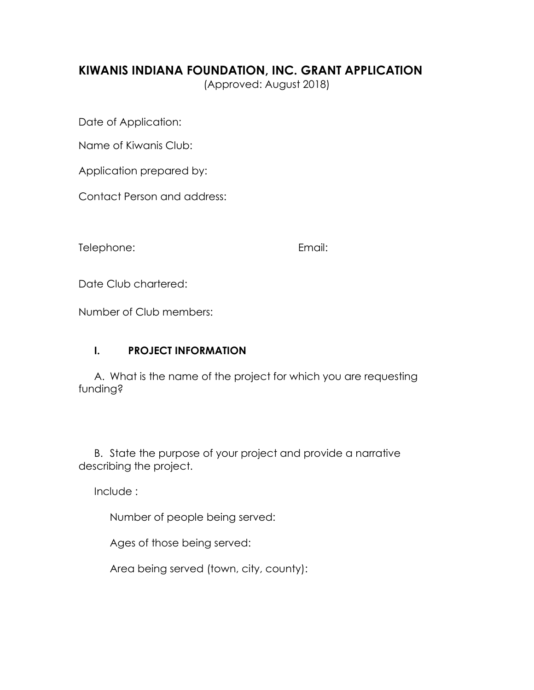# **KIWANIS INDIANA FOUNDATION, INC. GRANT APPLICATION**

(Approved: August 2018)

Date of Application:

Name of Kiwanis Club:

Application prepared by:

Contact Person and address:

Telephone: Email:

Date Club chartered:

Number of Club members:

## **I. PROJECT INFORMATION**

A. What is the name of the project for which you are requesting funding?

B. State the purpose of your project and provide a narrative describing the project.

Include :

Number of people being served:

Ages of those being served:

Area being served (town, city, county):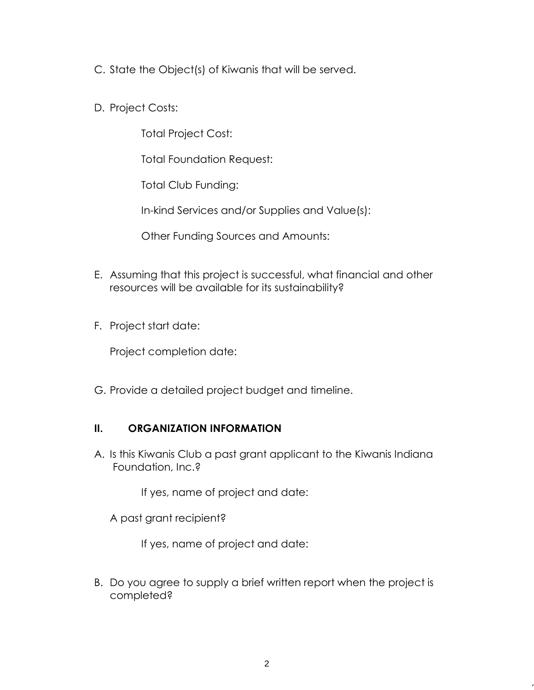- C. State the Object(s) of Kiwanis that will be served.
- D. Project Costs:

Total Project Cost:

Total Foundation Request:

Total Club Funding:

In-kind Services and/or Supplies and Value(s):

Other Funding Sources and Amounts:

- E. Assuming that this project is successful, what financial and other resources will be available for its sustainability?
- F. Project start date:

Project completion date:

G. Provide a detailed project budget and timeline.

## **II. ORGANIZATION INFORMATION**

A. Is this Kiwanis Club a past grant applicant to the Kiwanis Indiana Foundation, Inc.?

If yes, name of project and date:

A past grant recipient?

If yes, name of project and date:

B. Do you agree to supply a brief written report when the project is completed?

 $\overline{\phantom{a}}$